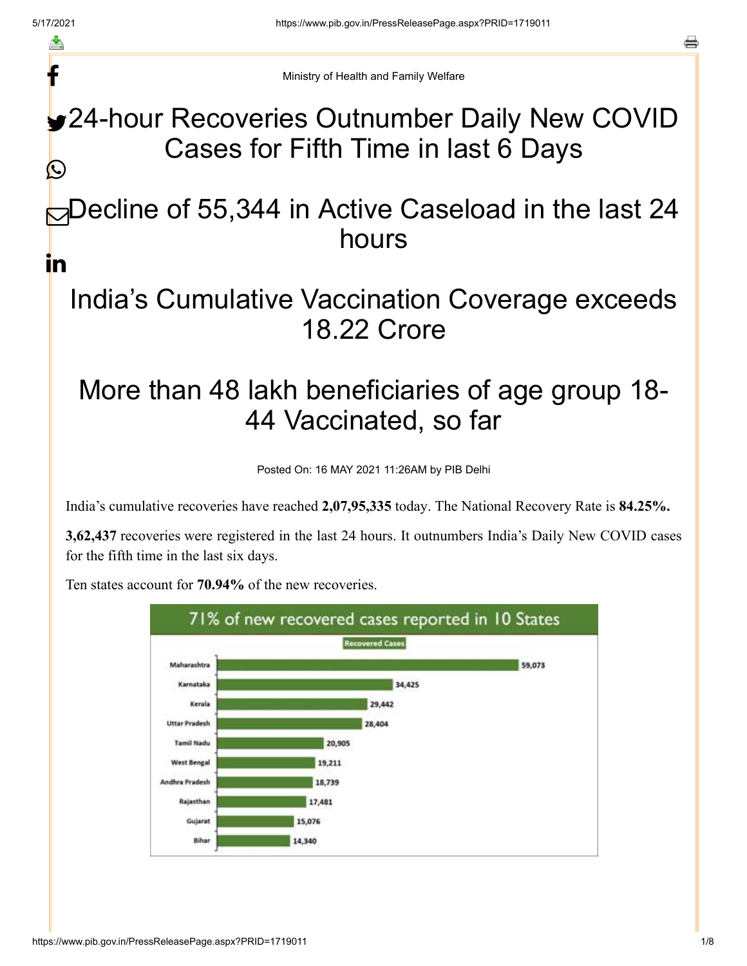f

a

Ministry of Health and Family Welfare

24-hour Recoveries Outnumber Daily New COVID Cases for Fifth Time in last 6 Days C

 $\bigcirc$ Decline of 55,344 in Active Caseload in the last 24 hours in

## India's Cumulative Vaccination Coverage exceeds 18.22 Crore

# More than 48 lakh beneficiaries of age group 18- 44 Vaccinated, so far

Posted On: 16 MAY 2021 11:26AM by PIB Delhi

India's cumulative recoveries have reached **2,07,95,335** today. The National Recovery Rate is **84.25%.**

**3,62,437** recoveries were registered in the last 24 hours. It outnumbers India's Daily New COVID cases for the fifth time in the last six days.



Ten states account for **70.94%** of the new recoveries.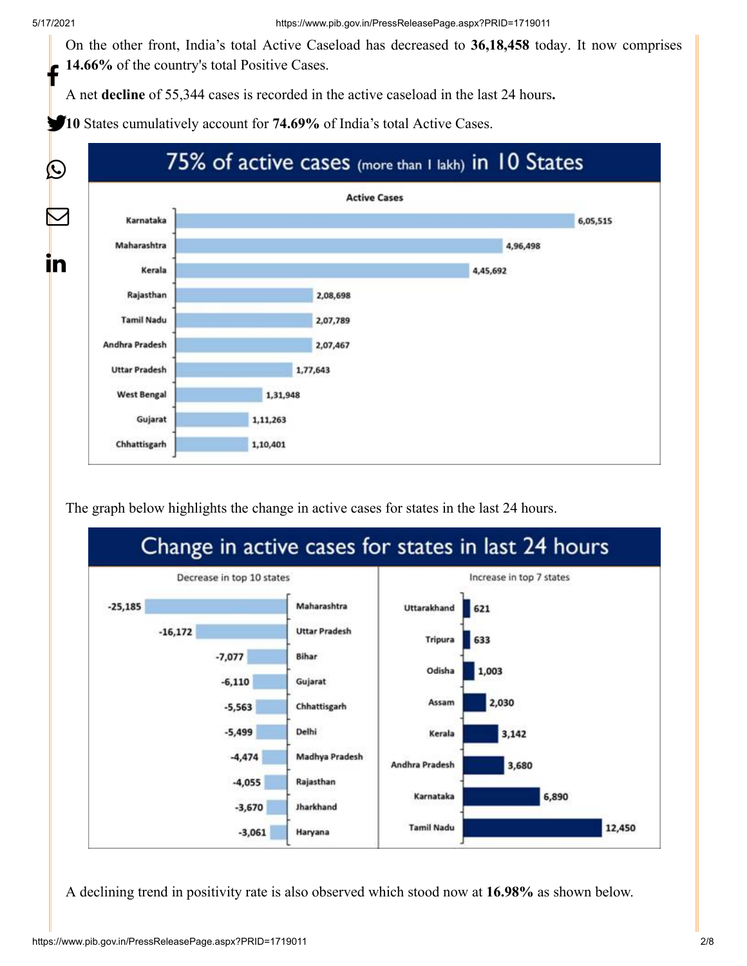On the other front, India's total Active Caseload has decreased to **36,18,458** today. It now comprises **14.66%** of the country's total Positive Cases. f

A net **decline** of 55,344 cases is recorded in the active caseload in the last 24 hours**.**

10 States cumulatively account for **74.69%** of India's total Active Cases.



The graph below highlights the change in active cases for states in the last 24 hours.



A declining trend in positivity rate is also observed which stood now at **16.98%** as shown below.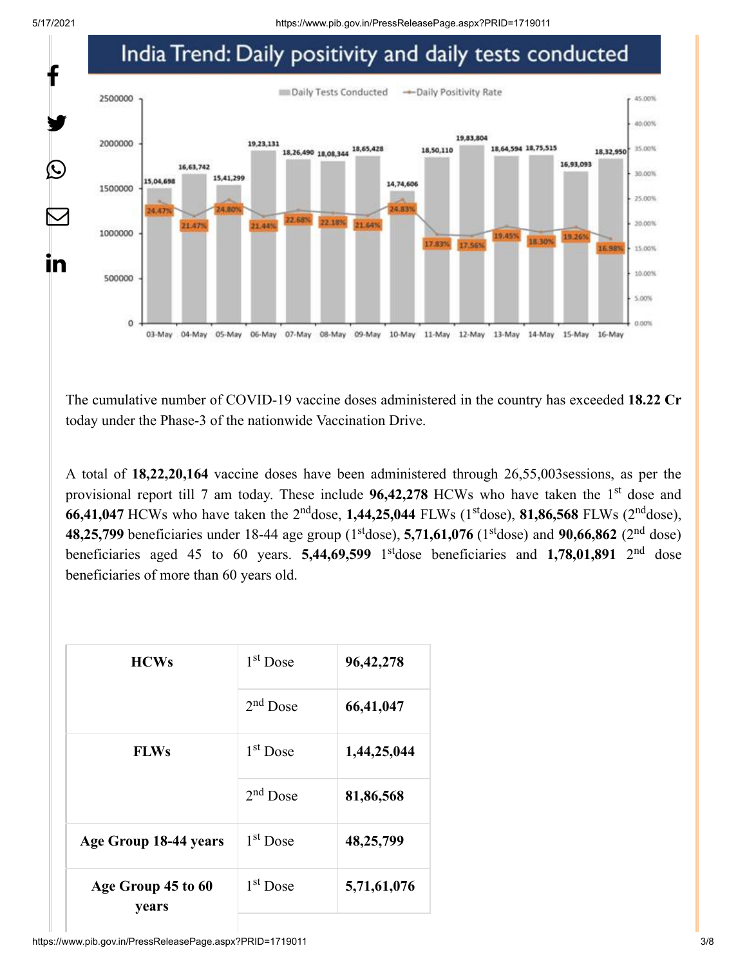5/17/2021 https://www.pib.gov.in/PressReleasePage.aspx?PRID=1719011



The cumulative number of COVID-19 vaccine doses administered in the country has exceeded **18.22 Cr** today under the Phase-3 of the nationwide Vaccination Drive.

A total of **18,22,20,164** vaccine doses have been administered through 26,55,003sessions, as per the provisional report till 7 am today. These include 96,42,278 HCWs who have taken the 1<sup>st</sup> dose and **66,41,047** HCWs who have taken the 2<sup>nd</sup>dose, 1,44,25,044 FLWs (1<sup>st</sup>dose), **81,86,568** FLWs (2<sup>nd</sup>dose), **48,25,799** beneficiaries under 18-44 age group (1<sup>st</sup>dose), 5,71,61,076 (1<sup>st</sup>dose) and 90,66,862 (2<sup>nd</sup> dose) beneficiaries aged 45 to 60 years. **5,44,69,599** 1<sup>st</sup>dose beneficiaries and **1,78,01,891** 2<sup>nd</sup> dose beneficiaries of more than 60 years old.

| <b>HCWs</b>                 | 1 <sup>st</sup> Dose | 96, 42, 278 |
|-----------------------------|----------------------|-------------|
|                             | $2nd$ Dose           | 66,41,047   |
| <b>FLWs</b>                 | 1 <sup>st</sup> Dose | 1,44,25,044 |
|                             | $2nd$ Dose           | 81,86,568   |
| Age Group 18-44 years       | 1 <sup>st</sup> Dose | 48,25,799   |
| Age Group 45 to 60<br>years | $1st$ Dose           | 5,71,61,076 |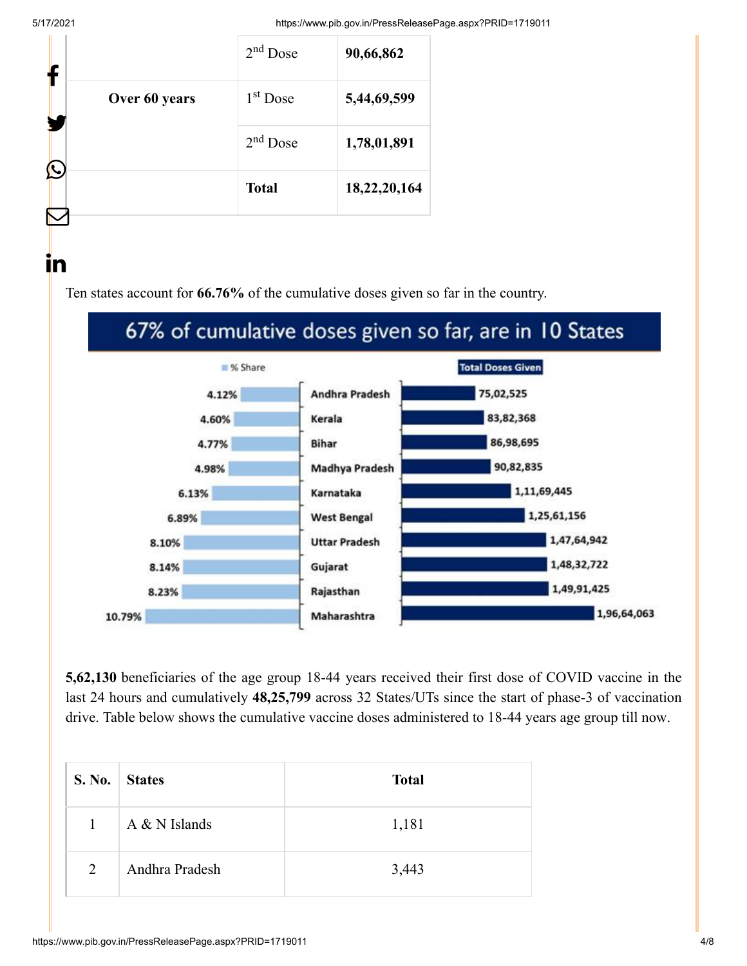ın

5/17/2021 https://www.pib.gov.in/PressReleasePage.aspx?PRID=1719011

|   |               | $2nd$ Dose   | 90,66,862    |  |
|---|---------------|--------------|--------------|--|
|   | Over 60 years | $1st$ Dose   | 5,44,69,599  |  |
|   |               | $2nd$ Dose   | 1,78,01,891  |  |
| L |               | <b>Total</b> | 18,22,20,164 |  |
|   |               |              |              |  |

Ten states account for **66.76%** of the cumulative doses given so far in the country.

## 67% of cumulative doses given so far, are in 10 States



**5,62,130** beneficiaries of the age group 18-44 years received their first dose of COVID vaccine in the last 24 hours and cumulatively **48,25,799** across 32 States/UTs since the start of phase-3 of vaccination drive. Table below shows the cumulative vaccine doses administered to 18-44 years age group till now.

| S. No.         | <b>States</b>   | <b>Total</b> |
|----------------|-----------------|--------------|
| $\mathbf{1}$   | $A & N$ Islands | 1,181        |
| $\overline{2}$ | Andhra Pradesh  | 3,443        |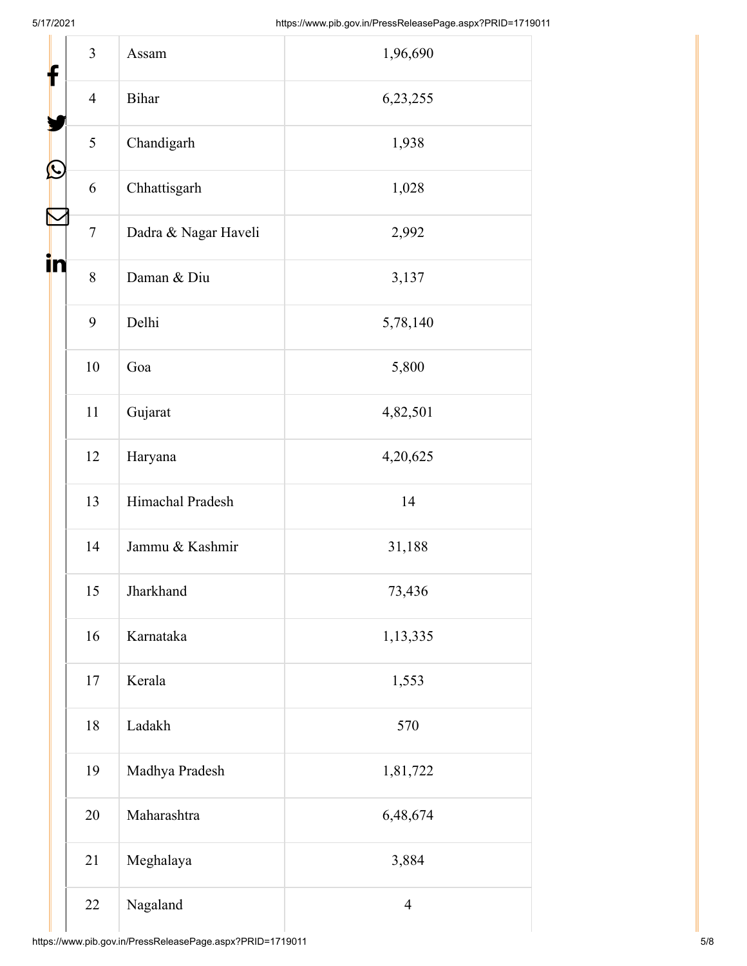| f  | $\overline{3}$ | Assam                | 1,96,690       |
|----|----------------|----------------------|----------------|
|    | $\overline{4}$ | Bihar                | 6,23,255       |
|    | 5              | Chandigarh           | 1,938          |
| Ŀ  | 6              | Chhattisgarh         | 1,028          |
|    | $\tau$         | Dadra & Nagar Haveli | 2,992          |
| İn | 8              | Daman & Diu          | 3,137          |
|    | 9              | Delhi                | 5,78,140       |
|    | 10             | Goa                  | 5,800          |
|    | 11             | Gujarat              | 4,82,501       |
|    | 12             | Haryana              | 4,20,625       |
|    | 13             | Himachal Pradesh     | 14             |
|    | 14             | Jammu & Kashmir      | 31,188         |
|    | 15             | Jharkhand            | 73,436         |
|    | 16             | Karnataka            | 1,13,335       |
|    | 17             | Kerala               | 1,553          |
|    | 18             | Ladakh               | 570            |
|    | 19             | Madhya Pradesh       | 1,81,722       |
|    | 20             | Maharashtra          | 6,48,674       |
|    | 21             | Meghalaya            | 3,884          |
|    | 22             | Nagaland             | $\overline{4}$ |
|    |                |                      |                |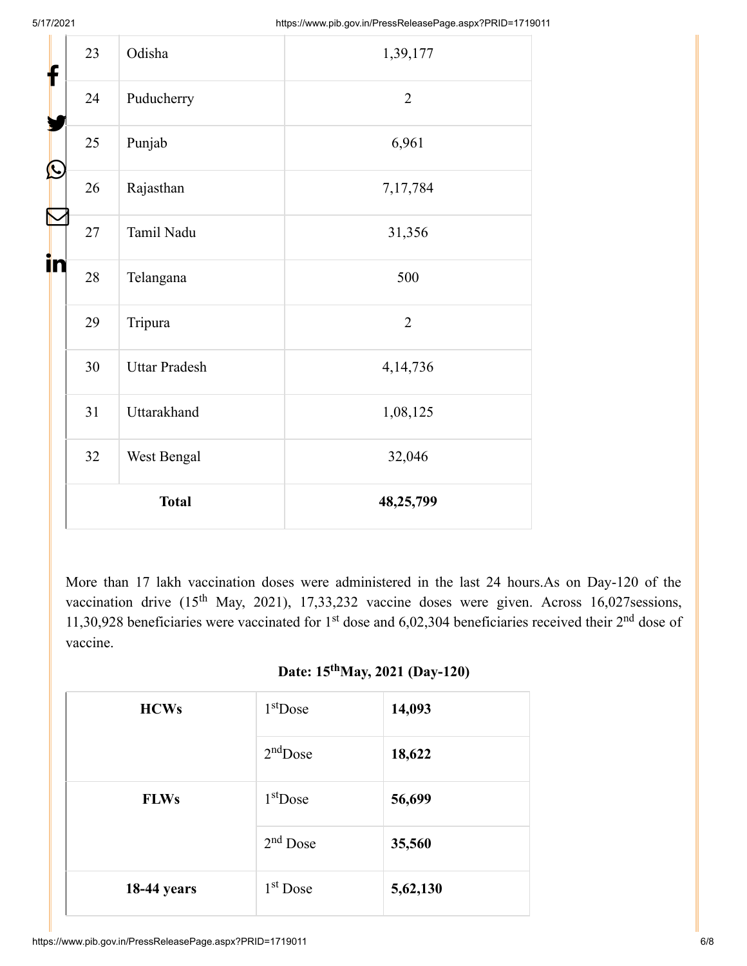| f  | 23 | Odisha               | 1,39,177       |
|----|----|----------------------|----------------|
|    | 24 | Puducherry           | $\overline{2}$ |
|    | 25 | Punjab               | 6,961          |
| Ŀ  | 26 | Rajasthan            | 7,17,784       |
|    | 27 | Tamil Nadu           | 31,356         |
| in | 28 | Telangana            | 500            |
|    | 29 | Tripura              | $\overline{2}$ |
|    | 30 | <b>Uttar Pradesh</b> | 4,14,736       |
|    | 31 | Uttarakhand          | 1,08,125       |
|    | 32 | West Bengal          | 32,046         |
|    |    | <b>Total</b>         | 48,25,799      |

More than 17 lakh vaccination doses were administered in the last 24 hours.As on Day-120 of the vaccination drive  $(15<sup>th</sup> May, 2021), 17,33,232$  vaccine doses were given. Across 16,027 sessions, 11,30,928 beneficiaries were vaccinated for  $1<sup>st</sup>$  dose and 6,02,304 beneficiaries received their  $2<sup>nd</sup>$  dose of vaccine.

### Date: 15<sup>th</sup>May, 2021 (Day-120)

| <b>HCWs</b>        | $1st$ Dose | 14,093   |
|--------------------|------------|----------|
|                    | $2nd$ Dose | 18,622   |
| <b>FLWs</b>        | $1st$ Dose | 56,699   |
|                    | $2nd$ Dose | 35,560   |
| <b>18-44 years</b> | $1st$ Dose | 5,62,130 |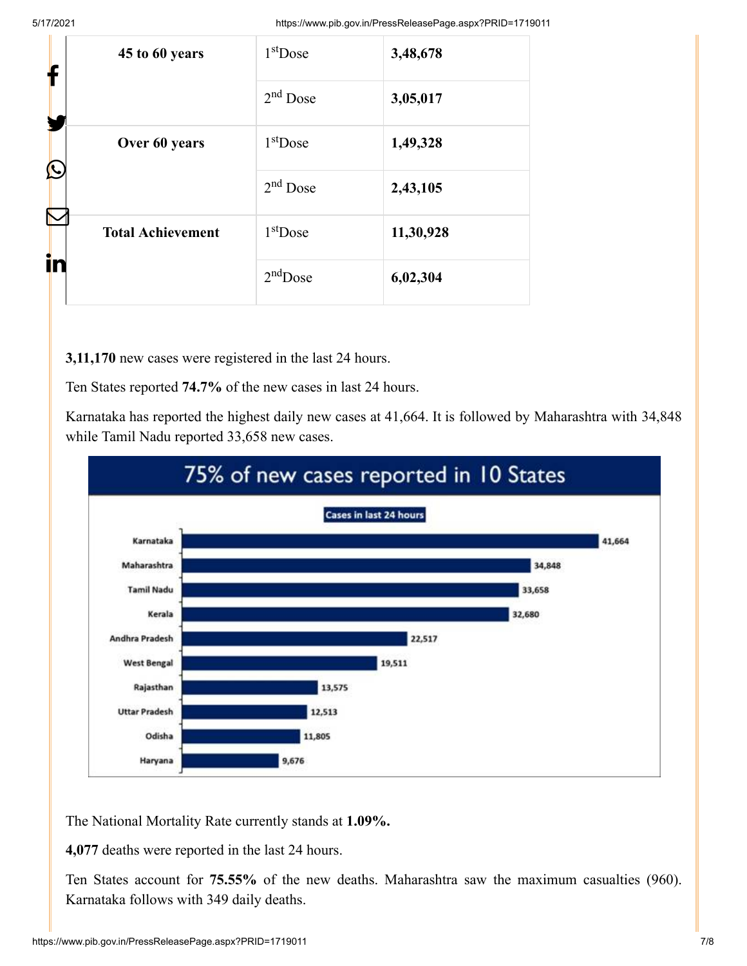5/17/2021 https://www.pib.gov.in/PressReleasePage.aspx?PRID=1719011

| ł                  | 45 to 60 years           | $1st$ Dose           | 3,48,678  |
|--------------------|--------------------------|----------------------|-----------|
|                    |                          | 2 <sup>nd</sup> Dose | 3,05,017  |
| Over 60 years<br>Ŀ | $1st$ Dose               | 1,49,328             |           |
|                    | $2nd$ Dose               | 2,43,105             |           |
| Ñ<br>.<br>in       | <b>Total Achievement</b> | $1st$ Dose           | 11,30,928 |
|                    |                          | $2nd$ Dose           | 6,02,304  |

**3,11,170** new cases were registered in the last 24 hours.

Ten States reported **74.7%** of the new cases in last 24 hours.

Karnataka has reported the highest daily new cases at 41,664. It is followed by Maharashtra with 34,848 while Tamil Nadu reported 33,658 new cases.



The National Mortality Rate currently stands at **1.09%.**

**4,077** deaths were reported in the last 24 hours.

Ten States account for **75.55%** of the new deaths. Maharashtra saw the maximum casualties (960). Karnataka follows with 349 daily deaths.